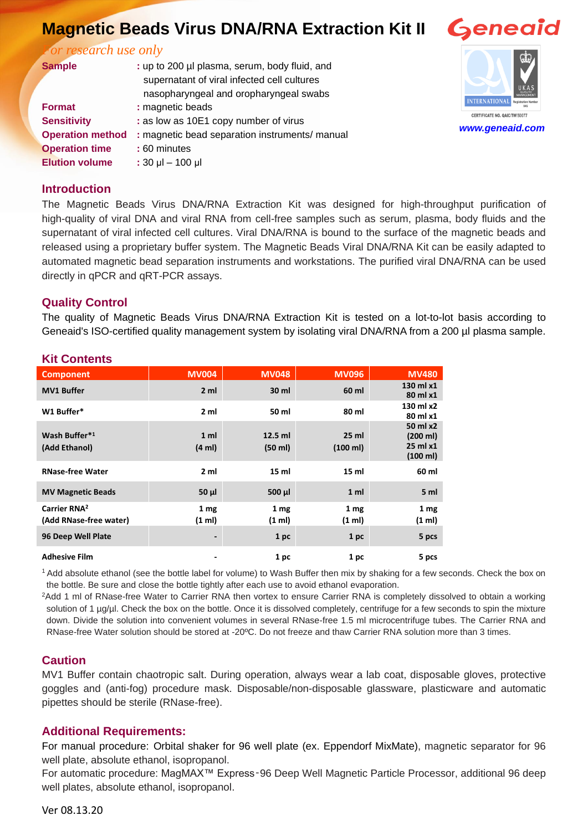# **Magnetic Beads Virus DNA/RNA Extraction Kit II**

*For research use only*

| <b>Sample</b>           | : up to 200 µl plasma, serum, body fluid, and<br>supernatant of viral infected cell cultures |  |  |
|-------------------------|----------------------------------------------------------------------------------------------|--|--|
|                         |                                                                                              |  |  |
|                         | nasopharyngeal and oropharyngeal swabs                                                       |  |  |
| <b>Format</b>           | : magnetic beads                                                                             |  |  |
| <b>Sensitivity</b>      | : as low as 10E1 copy number of virus                                                        |  |  |
| <b>Operation method</b> | : magnetic bead separation instruments/ manual                                               |  |  |
| <b>Operation time</b>   | : 60 minutes                                                                                 |  |  |
| <b>Elution volume</b>   | $: 30 \mu$ I - 100 $\mu$ I                                                                   |  |  |
|                         |                                                                                              |  |  |



#### **Introduction**

The Magnetic Beads Virus DNA/RNA Extraction Kit was designed for high-throughput purification of high-quality of viral DNA and viral RNA from cell-free samples such as serum, plasma, body fluids and the supernatant of viral infected cell cultures. Viral DNA/RNA is bound to the surface of the magnetic beads and released using a proprietary buffer system. The Magnetic Beads Viral DNA/RNA Kit can be easily adapted to automated magnetic bead separation instruments and workstations. The purified viral DNA/RNA can be used directly in qPCR and qRT-PCR assays.

#### **Quality Control**

The quality of Magnetic Beads Virus DNA/RNA Extraction Kit is tested on a lot-to-lot basis according to Geneaid's ISO-certified quality management system by isolating viral DNA/RNA from a 200 µl plasma sample.

| טווויטע ווע                                        |                                    |                           |                             |                                              |
|----------------------------------------------------|------------------------------------|---------------------------|-----------------------------|----------------------------------------------|
| <b>Component</b>                                   | <b>MV004</b>                       | <b>MV048</b>              | <b>MV096</b>                | <b>MV480</b>                                 |
| <b>MV1 Buffer</b>                                  | 2 <sub>m1</sub>                    | 30 ml                     | 60 ml                       | 130 ml x1<br>80 ml x1                        |
| W1 Buffer*                                         | 2 <sub>m1</sub>                    | 50 ml                     | 80 ml                       | 130 ml x2<br>80 ml x1                        |
| Wash Buffer*1<br>(Add Ethanol)                     | 1 <sub>m</sub><br>$(4 \text{ ml})$ | $12.5$ ml<br>(50 ml)      | 25 <sub>m</sub><br>(100 ml) | 50 ml x2<br>(200 ml)<br>25 ml x1<br>(100 ml) |
| <b>RNase-free Water</b>                            | 2 <sub>m1</sub>                    | 15 ml                     | 15 <sub>m</sub>             | 60 ml                                        |
| <b>MV Magnetic Beads</b>                           | $50 \mu$                           | $500 \mu l$               | 1 <sub>m</sub>              | 5 ml                                         |
| Carrier RNA <sup>2</sup><br>(Add RNase-free water) | 1 <sub>mg</sub><br>(1 ml)          | 1 <sub>mg</sub><br>(1 ml) | 1 <sub>mg</sub><br>(1 ml)   | 1 <sub>mg</sub><br>(1 ml)                    |
| 96 Deep Well Plate                                 | $\overline{\phantom{a}}$           | 1 pc                      | 1 pc                        | 5 pcs                                        |
| <b>Adhesive Film</b>                               |                                    | 1 pc                      | 1 pc                        | 5 pcs                                        |

#### **Kit Contents**

<sup>1</sup>Add absolute ethanol (see the bottle label for volume) to Wash Buffer then mix by shaking for a few seconds. Check the box on the bottle. Be sure and close the bottle tightly after each use to avoid ethanol evaporation.

<sup>2</sup>Add 1 ml of RNase-free Water to Carrier RNA then vortex to ensure Carrier RNA is completely dissolved to obtain a working solution of 1 µg/µl. Check the box on the bottle. Once it is dissolved completely, centrifuge for a few seconds to spin the mixture down. Divide the solution into convenient volumes in several RNase-free 1.5 ml microcentrifuge tubes. The Carrier RNA and RNase-free Water solution should be stored at -20ºC. Do not freeze and thaw Carrier RNA solution more than 3 times.

### **Caution**

MV1 Buffer contain chaotropic salt. During operation, always wear a lab coat, disposable gloves, protective goggles and (anti-fog) procedure mask. Disposable/non-disposable glassware, plasticware and automatic pipettes should be sterile (RNase-free).

### **Additional Requirements:**

For manual procedure: Orbital shaker for 96 well plate (ex. Eppendorf MixMate), magnetic separator for 96 well plate, absolute ethanol, isopropanol.

For automatic procedure: MagMAX™ Express‑96 Deep Well Magnetic Particle Processor, additional 96 deep well plates, absolute ethanol, isopropanol.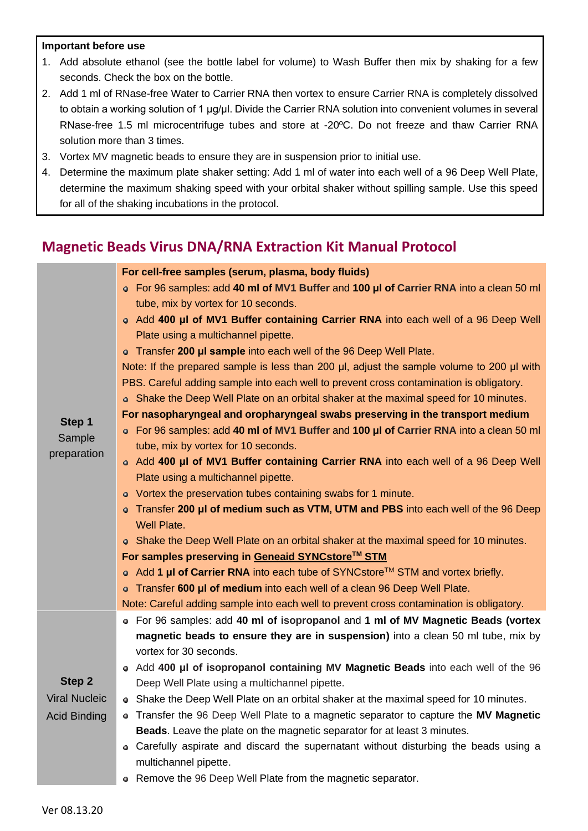#### **Important before use**

- 1. Add absolute ethanol (see the bottle label for volume) to Wash Buffer then mix by shaking for a few seconds. Check the box on the bottle.
- 2. Add 1 ml of RNase-free Water to Carrier RNA then vortex to ensure Carrier RNA is completely dissolved to obtain a working solution of 1 μg/μl. Divide the Carrier RNA solution into convenient volumes in several RNase-free 1.5 ml microcentrifuge tubes and store at -20ºC. Do not freeze and thaw Carrier RNA solution more than 3 times.
- 3. Vortex MV magnetic beads to ensure they are in suspension prior to initial use.
- 4. Determine the maximum plate shaker setting: Add 1 ml of water into each well of a 96 Deep Well Plate, determine the maximum shaking speed with your orbital shaker without spilling sample. Use this speed for all of the shaking incubations in the protocol.

### **Magnetic Beads Virus DNA/RNA Extraction Kit Manual Protocol**

|                       | For cell-free samples (serum, plasma, body fluids)                                               |  |  |  |  |
|-----------------------|--------------------------------------------------------------------------------------------------|--|--|--|--|
|                       | • For 96 samples: add 40 ml of MV1 Buffer and 100 µl of Carrier RNA into a clean 50 ml           |  |  |  |  |
|                       | tube, mix by vortex for 10 seconds.                                                              |  |  |  |  |
|                       | • Add 400 µl of MV1 Buffer containing Carrier RNA into each well of a 96 Deep Well               |  |  |  |  |
|                       | Plate using a multichannel pipette.                                                              |  |  |  |  |
|                       | • Transfer 200 µI sample into each well of the 96 Deep Well Plate.                               |  |  |  |  |
|                       | Note: If the prepared sample is less than 200 µl, adjust the sample volume to 200 µl with        |  |  |  |  |
|                       | PBS. Careful adding sample into each well to prevent cross contamination is obligatory.          |  |  |  |  |
|                       | • Shake the Deep Well Plate on an orbital shaker at the maximal speed for 10 minutes.            |  |  |  |  |
|                       | For nasopharyngeal and oropharyngeal swabs preserving in the transport medium                    |  |  |  |  |
| Step 1                | • For 96 samples: add 40 ml of MV1 Buffer and 100 µl of Carrier RNA into a clean 50 ml           |  |  |  |  |
| Sample<br>preparation | tube, mix by vortex for 10 seconds.                                                              |  |  |  |  |
|                       | • Add 400 µl of MV1 Buffer containing Carrier RNA into each well of a 96 Deep Well               |  |  |  |  |
|                       | Plate using a multichannel pipette.                                                              |  |  |  |  |
|                       | • Vortex the preservation tubes containing swabs for 1 minute.                                   |  |  |  |  |
|                       | • Transfer 200 µl of medium such as VTM, UTM and PBS into each well of the 96 Deep               |  |  |  |  |
|                       | Well Plate.                                                                                      |  |  |  |  |
|                       | • Shake the Deep Well Plate on an orbital shaker at the maximal speed for 10 minutes.            |  |  |  |  |
|                       | For samples preserving in Geneaid SYNCstore™ STM                                                 |  |  |  |  |
|                       | • Add 1 $\mu$ I of Carrier RNA into each tube of SYNCstore <sup>TM</sup> STM and vortex briefly. |  |  |  |  |
|                       | o Transfer 600 µl of medium into each well of a clean 96 Deep Well Plate.                        |  |  |  |  |
|                       | Note: Careful adding sample into each well to prevent cross contamination is obligatory.         |  |  |  |  |
|                       | • For 96 samples: add 40 ml of isopropanol and 1 ml of MV Magnetic Beads (vortex                 |  |  |  |  |
|                       | magnetic beads to ensure they are in suspension) into a clean 50 ml tube, mix by                 |  |  |  |  |
|                       | vortex for 30 seconds.                                                                           |  |  |  |  |
|                       | • Add 400 µl of isopropanol containing MV Magnetic Beads into each well of the 96                |  |  |  |  |
| Step 2                | Deep Well Plate using a multichannel pipette.                                                    |  |  |  |  |
| <b>Viral Nucleic</b>  | • Shake the Deep Well Plate on an orbital shaker at the maximal speed for 10 minutes.            |  |  |  |  |
| <b>Acid Binding</b>   | Transfer the 96 Deep Well Plate to a magnetic separator to capture the MV Magnetic               |  |  |  |  |
|                       | <b>Beads.</b> Leave the plate on the magnetic separator for at least 3 minutes.                  |  |  |  |  |
|                       | • Carefully aspirate and discard the supernatant without disturbing the beads using a            |  |  |  |  |
|                       | multichannel pipette.                                                                            |  |  |  |  |
|                       | Remove the 96 Deep Well Plate from the magnetic separator.                                       |  |  |  |  |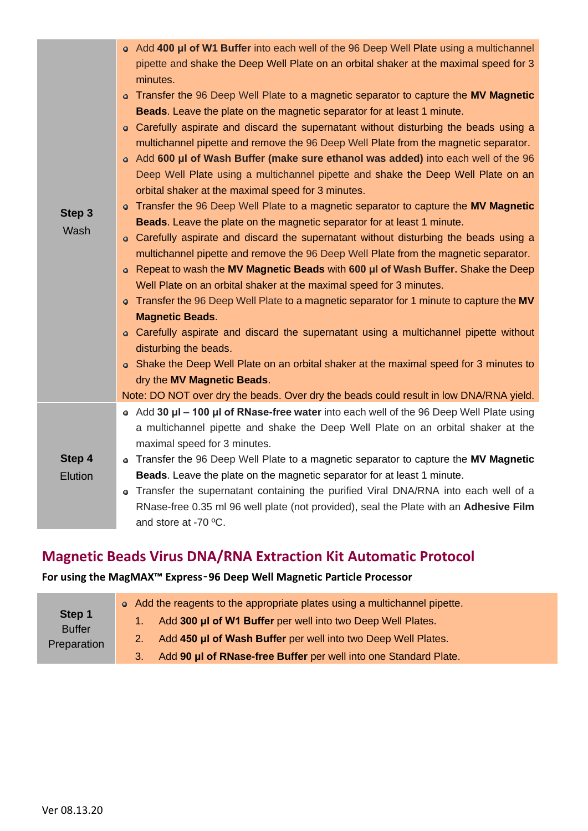| Step 3<br>Wash    | • Add 400 µl of W1 Buffer into each well of the 96 Deep Well Plate using a multichannel<br>pipette and shake the Deep Well Plate on an orbital shaker at the maximal speed for 3<br>minutes.<br>• Transfer the 96 Deep Well Plate to a magnetic separator to capture the MV Magnetic<br><b>Beads.</b> Leave the plate on the magnetic separator for at least 1 minute.<br>• Carefully aspirate and discard the supernatant without disturbing the beads using a<br>multichannel pipette and remove the 96 Deep Well Plate from the magnetic separator.<br>• Add 600 µl of Wash Buffer (make sure ethanol was added) into each well of the 96<br>Deep Well Plate using a multichannel pipette and shake the Deep Well Plate on an<br>orbital shaker at the maximal speed for 3 minutes.<br>• Transfer the 96 Deep Well Plate to a magnetic separator to capture the MV Magnetic<br>Beads. Leave the plate on the magnetic separator for at least 1 minute.<br>• Carefully aspirate and discard the supernatant without disturbing the beads using a<br>multichannel pipette and remove the 96 Deep Well Plate from the magnetic separator.<br>Repeat to wash the MV Magnetic Beads with 600 µl of Wash Buffer. Shake the Deep<br>۰<br>Well Plate on an orbital shaker at the maximal speed for 3 minutes.<br>• Transfer the 96 Deep Well Plate to a magnetic separator for 1 minute to capture the MV<br><b>Magnetic Beads.</b><br>• Carefully aspirate and discard the supernatant using a multichannel pipette without<br>disturbing the beads.<br>• Shake the Deep Well Plate on an orbital shaker at the maximal speed for 3 minutes to<br>dry the MV Magnetic Beads. |
|-------------------|--------------------------------------------------------------------------------------------------------------------------------------------------------------------------------------------------------------------------------------------------------------------------------------------------------------------------------------------------------------------------------------------------------------------------------------------------------------------------------------------------------------------------------------------------------------------------------------------------------------------------------------------------------------------------------------------------------------------------------------------------------------------------------------------------------------------------------------------------------------------------------------------------------------------------------------------------------------------------------------------------------------------------------------------------------------------------------------------------------------------------------------------------------------------------------------------------------------------------------------------------------------------------------------------------------------------------------------------------------------------------------------------------------------------------------------------------------------------------------------------------------------------------------------------------------------------------------------------------------------------------------------------------------------------------|
|                   | Note: DO NOT over dry the beads. Over dry the beads could result in low DNA/RNA yield.                                                                                                                                                                                                                                                                                                                                                                                                                                                                                                                                                                                                                                                                                                                                                                                                                                                                                                                                                                                                                                                                                                                                                                                                                                                                                                                                                                                                                                                                                                                                                                                   |
| Step 4<br>Elution | • Add 30 µl – 100 µl of RNase-free water into each well of the 96 Deep Well Plate using<br>a multichannel pipette and shake the Deep Well Plate on an orbital shaker at the<br>maximal speed for 3 minutes.<br>• Transfer the 96 Deep Well Plate to a magnetic separator to capture the MV Magnetic<br><b>Beads.</b> Leave the plate on the magnetic separator for at least 1 minute.<br>Transfer the supernatant containing the purified Viral DNA/RNA into each well of a<br>۰<br>RNase-free 0.35 ml 96 well plate (not provided), seal the Plate with an Adhesive Film<br>and store at -70 °C.                                                                                                                                                                                                                                                                                                                                                                                                                                                                                                                                                                                                                                                                                                                                                                                                                                                                                                                                                                                                                                                                        |

## **Magnetic Beads Virus DNA/RNA Extraction Kit Automatic Protocol**

### **For using the MagMAX™ Express**‑**96 Deep Well Magnetic Particle Processor**

| Step 1<br><b>Buffer</b><br>Preparation | • Add the reagents to the appropriate plates using a multichannel pipette. |
|----------------------------------------|----------------------------------------------------------------------------|
|                                        | Add 300 µl of W1 Buffer per well into two Deep Well Plates.                |
|                                        | Add 450 µl of Wash Buffer per well into two Deep Well Plates.              |
|                                        | Add 90 µl of RNase-free Buffer per well into one Standard Plate.           |